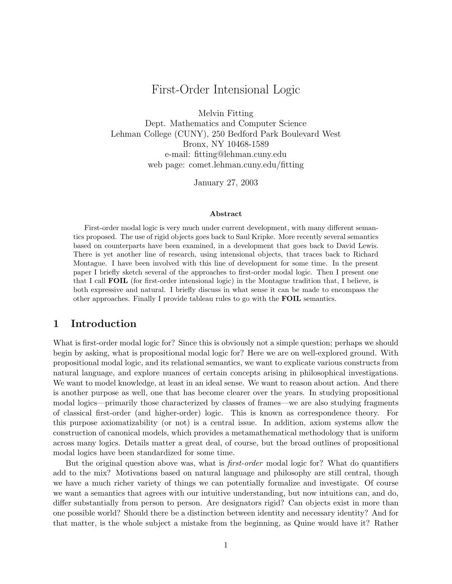# First-Order Intensional Logic

Melvin Fitting Dept. Mathematics and Computer Science Lehman College (CUNY), 250 Bedford Park Boulevard West Bronx, NY 10468-1589 e-mail: fitting@lehman.cuny.edu web page: comet.lehman.cuny.edu/fitting

January 27, 2003

#### **Abstract**

First-order modal logic is very much under current development, with many different semantics proposed. The use of rigid objects goes back to Saul Kripke. More recently several semantics based on counterparts have been examined, in a development that goes back to David Lewis. There is yet another line of research, using intensional objects, that traces back to Richard Montague. I have been involved with this line of development for some time. In the present paper I briefly sketch several of the approaches to first-order modal logic. Then I present one that I call **FOIL** (for first-order intensional logic) in the Montague tradition that, I believe, is both expressive and natural. I briefly discuss in what sense it can be made to encompass the other approaches. Finally I provide tableau rules to go with the **FOIL** semantics.

## **1 Introduction**

What is first-order modal logic for? Since this is obviously not a simple question; perhaps we should begin by asking, what is propositional modal logic for? Here we are on well-explored ground. With propositional modal logic, and its relational semantics, we want to explicate various constructs from natural language, and explore nuances of certain concepts arising in philosophical investigations. We want to model knowledge, at least in an ideal sense. We want to reason about action. And there is another purpose as well, one that has become clearer over the years. In studying propositional modal logics—primarily those characterized by classes of frames—we are also studying fragments of classical first-order (and higher-order) logic. This is known as correspondence theory. For this purpose axiomatizability (or not) is a central issue. In addition, axiom systems allow the construction of canonical models, which provides a metamathematical methodology that is uniform across many logics. Details matter a great deal, of course, but the broad outlines of propositional modal logics have been standardized for some time.

But the original question above was, what is *first-order* modal logic for? What do quantifiers add to the mix? Motivations based on natural language and philosophy are still central, though we have a much richer variety of things we can potentially formalize and investigate. Of course we want a semantics that agrees with our intuitive understanding, but now intuitions can, and do, differ substantially from person to person. Are designators rigid? Can objects exist in more than one possible world? Should there be a distinction between identity and necessary identity? And for that matter, is the whole subject a mistake from the beginning, as Quine would have it? Rather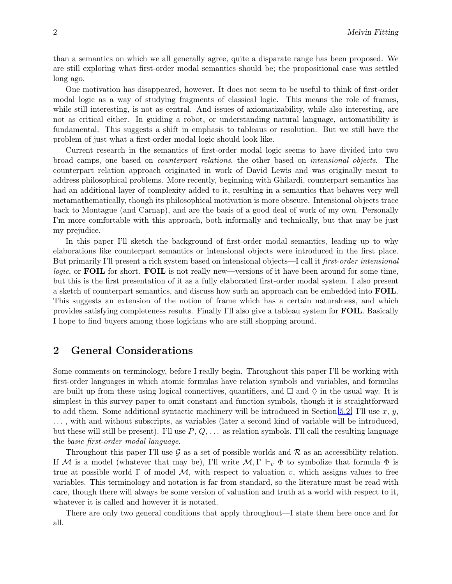<span id="page-1-0"></span>than a semantics on which we all generally agree, quite a disparate range has been proposed. We are still exploring what first-order modal semantics should be; the propositional case was settled long ago.

One motivation has disappeared, however. It does not seem to be useful to think of first-order modal logic as a way of studying fragments of classical logic. This means the role of frames, while still interesting, is not as central. And issues of axiomatizability, while also interesting, are not as critical either. In guiding a robot, or understanding natural language, automatibility is fundamental. This suggests a shift in emphasis to tableaus or resolution. But we still have the problem of just what a first-order modal logic should look like.

Current research in the semantics of first-order modal logic seems to have divided into two broad camps, one based on counterpart relations, the other based on intensional objects. The counterpart relation approach originated in work of David Lewis and was originally meant to address philosophical problems. More recently, beginning with Ghilardi, counterpart semantics has had an additional layer of complexity added to it, resulting in a semantics that behaves very well metamathematically, though its philosophical motivation is more obscure. Intensional objects trace back to Montague (and Carnap), and are the basis of a good deal of work of my own. Personally I'm more comfortable with this approach, both informally and technically, but that may be just my prejudice.

In this paper I'll sketch the background of first-order modal semantics, leading up to why elaborations like counterpart semantics or intensional objects were introduced in the first place. But primarily I'll present a rich system based on intensional objects—I call it first-order intensional logic, or **FOIL** for short. **FOIL** is not really new—versions of it have been around for some time, but this is the first presentation of it as a fully elaborated first-order modal system. I also present a sketch of counterpart semantics, and discuss how such an approach can be embedded into **FOIL**. This suggests an extension of the notion of frame which has a certain naturalness, and which provides satisfying completeness results. Finally I'll also give a tableau system for **FOIL**. Basically I hope to find buyers among those logicians who are still shopping around.

# **2 General Considerations**

Some comments on terminology, before I really begin. Throughout this paper I'll be working with first-order languages in which atomic formulas have relation symbols and variables, and formulas are built up from these using logical connectives, quantifiers, and  $\Box$  and  $\Diamond$  in the usual way. It is simplest in this survey paper to omit constant and function symbols, though it is straightforward to add them. Some additional syntactic machinery will be introduced in Section [5.2.](#page-8-0) I'll use *x*, *y*, *...* , with and without subscripts, as variables (later a second kind of variable will be introduced, but these will still be present). I'll use *P*, *Q*, *...* as relation symbols. I'll call the resulting language the basic first-order modal language.

Throughout this paper I'll use  $\mathcal G$  as a set of possible worlds and  $\mathcal R$  as an accessibility relation. If M is a model (whatever that may be), I'll write  $M, \Gamma \Vdash_{v} \Phi$  to symbolize that formula  $\Phi$  is true at possible world  $\Gamma$  of model  $\mathcal{M}$ , with respect to valuation *v*, which assigns values to free variables. This terminology and notation is far from standard, so the literature must be read with care, though there will always be some version of valuation and truth at a world with respect to it, whatever it is called and however it is notated.

There are only two general conditions that apply throughout—I state them here once and for all.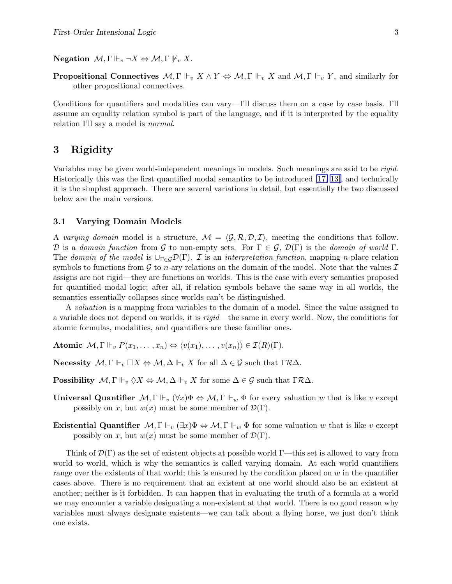<span id="page-2-0"></span>**Negation**  $\mathcal{M}, \Gamma \Vdash_v \neg X \Leftrightarrow \mathcal{M}, \Gamma \Vdash_v X$ .

**Propositional Connectives**  $M, \Gamma \Vdash_v X \wedge Y \Leftrightarrow M, \Gamma \Vdash_v X$  and  $M, \Gamma \Vdash_v Y$ , and similarly for other propositional connectives.

Conditions for quantifiers and modalities can vary—I'll discuss them on a case by case basis. I'll assume an equality relation symbol is part of the language, and if it is interpreted by the equality relation I'll say a model is normal.

# **3 Rigidity**

Variables may be given world-independent meanings in models. Such meanings are said to be rigid. Historically this was the first quantified modal semantics to be introduced [\[17, 13\],](#page-19-0) and technically it is the simplest approach. There are several variations in detail, but essentially the two discussed below are the main versions.

### **3.1 Varying Domain Models**

A varying domain model is a structure,  $\mathcal{M} = \langle \mathcal{G}, \mathcal{R}, \mathcal{D}, \mathcal{I} \rangle$ , meeting the conditions that follow. D is a domain function from G to non-empty sets. For  $\Gamma \in \mathcal{G}$ ,  $\mathcal{D}(\Gamma)$  is the domain of world  $\Gamma$ . The domain of the model is  $\cup_{\Gamma \in \mathcal{G}} \mathcal{D}(\Gamma)$ . I is an interpretation function, mapping *n*-place relation symbols to functions from  $G$  to *n*-ary relations on the domain of the model. Note that the values  $I$ assigns are not rigid—they are functions on worlds. This is the case with every semantics proposed for quantified modal logic; after all, if relation symbols behave the same way in all worlds, the semantics essentially collapses since worlds can't be distinguished.

A valuation is a mapping from variables to the domain of a model. Since the value assigned to a variable does not depend on worlds, it is rigid—the same in every world. Now, the conditions for atomic formulas, modalities, and quantifiers are these familiar ones.

**Atomic**  $\mathcal{M}, \Gamma \Vdash_v P(x_1, \ldots, x_n) \Leftrightarrow \langle v(x_1), \ldots, v(x_n) \rangle \in \mathcal{I}(R)(\Gamma).$ 

**Necessity**  $M, \Gamma \Vdash_v \Box X \Leftrightarrow M, \Delta \Vdash_v X$  for all  $\Delta \in \mathcal{G}$  such that  $\Gamma \mathcal{R} \Delta$ .

**Possibility**  $M, \Gamma \Vdash_v \Diamond X \Leftrightarrow M, \Delta \Vdash_v X$  for some  $\Delta \in \mathcal{G}$  such that  $\Gamma \mathcal{R} \Delta$ .

- **Universal Quantifier**  $M, \Gamma \Vdash_{v} (\forall x) \Phi \Leftrightarrow M, \Gamma \Vdash_{w} \Phi$  for every valuation w that is like v except possibly on *x*, but  $w(x)$  must be some member of  $\mathcal{D}(\Gamma)$ .
- **Existential Quantifier**  $M, \Gamma \Vdash_v \langle \exists x \rangle \Phi \Leftrightarrow M, \Gamma \Vdash_v \Phi$  for some valuation w that is like v except possibly on *x*, but  $w(x)$  must be some member of  $\mathcal{D}(\Gamma)$ .

Think of  $\mathcal{D}(\Gamma)$  as the set of existent objects at possible world  $\Gamma$ —this set is allowed to vary from world to world, which is why the semantics is called varying domain. At each world quantifiers range over the existents of that world; this is ensured by the condition placed on *w* in the quantifier cases above. There is no requirement that an existent at one world should also be an existent at another; neither is it forbidden. It can happen that in evaluating the truth of a formula at a world we may encounter a variable designating a non-existent at that world. There is no good reason why variables must always designate existents—we can talk about a flying horse, we just don't think one exists.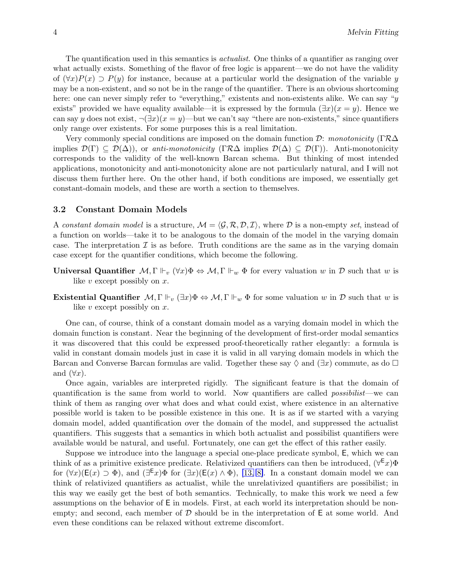<span id="page-3-0"></span>The quantification used in this semantics is *actualist*. One thinks of a quantifier as ranging over what actually exists. Something of the flavor of free logic is apparent—we do not have the validity of  $(\forall x)P(x) \supset P(y)$  for instance, because at a particular world the designation of the variable *y* may be a non-existent, and so not be in the range of the quantifier. There is an obvious shortcoming here: one can never simply refer to "everything," existents and non-existents alike. We can say "*y* exists" provided we have equality available—it is expressed by the formula  $(\exists x)(x = y)$ . Hence we can say *y* does not exist,  $\neg(\exists x)(x = y)$ —but we can't say "there are non-existents," since quantifiers only range over existents. For some purposes this is a real limitation.

Very commonly special conditions are imposed on the domain function  $\mathcal{D}$ : monotonicity (ΓR $\Delta$ implies  $\mathcal{D}(\Gamma) \subseteq \mathcal{D}(\Delta)$ , or anti-monotonicity (ΓR $\Delta$  implies  $\mathcal{D}(\Delta) \subseteq \mathcal{D}(\Gamma)$ ). Anti-monotonicity corresponds to the validity of the well-known Barcan schema. But thinking of most intended applications, monotonicity and anti-monotonicity alone are not particularly natural, and I will not discuss them further here. On the other hand, if both conditions are imposed, we essentially get constant-domain models, and these are worth a section to themselves.

#### **3.2 Constant Domain Models**

A constant domain model is a structure,  $\mathcal{M} = \langle \mathcal{G}, \mathcal{R}, \mathcal{D}, \mathcal{I} \rangle$ , where  $\mathcal D$  is a non-empty set, instead of a function on worlds—take it to be analogous to the domain of the model in the varying domain case. The interpretation  $\mathcal I$  is as before. Truth conditions are the same as in the varying domain case except for the quantifier conditions, which become the following.

- **Universal Quantifier**  $M, \Gamma \Vdash_v (\forall x) \Phi \Leftrightarrow M, \Gamma \Vdash_w \Phi$  for every valuation *w* in D such that *w* is like *v* except possibly on *x*.
- **Existential Quantifier**  $M, \Gamma \Vdash_v (\exists x) \Phi \Leftrightarrow M, \Gamma \Vdash_w \Phi$  for some valuation *w* in D such that *w* is like *v* except possibly on *x*.

One can, of course, think of a constant domain model as a varying domain model in which the domain function is constant. Near the beginning of the development of first-order modal semantics it was discovered that this could be expressed proof-theoretically rather elegantly: a formula is valid in constant domain models just in case it is valid in all varying domain models in which the Barcan and Converse Barcan formulas are valid. Together these say  $\Diamond$  and  $(\exists x)$  commute, as do  $\Box$ and  $(\forall x)$ .

Once again, variables are interpreted rigidly. The significant feature is that the domain of quantification is the same from world to world. Now quantifiers are called *possibilist*—we can think of them as ranging over what does and what could exist, where existence in an alternative possible world is taken to be possible existence in this one. It is as if we started with a varying domain model, added quantification over the domain of the model, and suppressed the actualist quantifiers. This suggests that a semantics in which both actualist and possibilist quantifiers were available would be natural, and useful. Fortunately, one can get the effect of this rather easily.

Suppose we introduce into the language a special one-place predicate symbol, E, which we can think of as a primitive existence predicate. Relativized quantifiers can then be introduced,  $(\forall^E x)\Phi$ for  $(\forall x)(E(x) \supset \Phi)$ , and  $(\exists^E x)\Phi$  for  $(\exists x)(E(x) \wedge \Phi)$ , [\[13, 8\]](#page-19-0). In a constant domain model we can think of relativized quantifiers as actualist, while the unrelativized quantifiers are possibilist; in this way we easily get the best of both semantics. Technically, to make this work we need a few assumptions on the behavior of E in models. First, at each world its interpretation should be nonempty; and second, each member of  $D$  should be in the interpretation of  $E$  at some world. And even these conditions can be relaxed without extreme discomfort.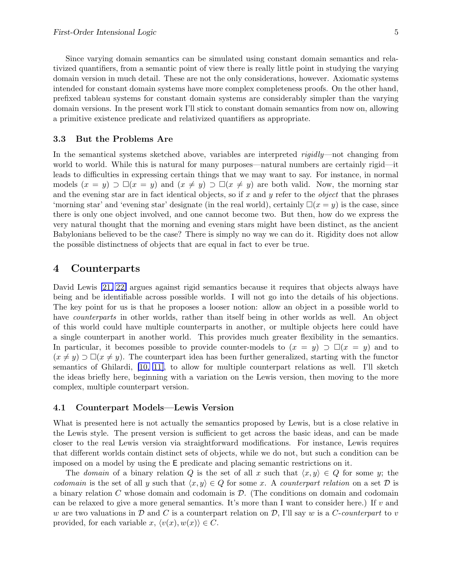<span id="page-4-0"></span>Since varying domain semantics can be simulated using constant domain semantics and relativized quantifiers, from a semantic point of view there is really little point in studying the varying domain version in much detail. These are not the only considerations, however. Axiomatic systems intended for constant domain systems have more complex completeness proofs. On the other hand, prefixed tableau systems for constant domain systems are considerably simpler than the varying domain versions. In the present work I'll stick to constant domain semantics from now on, allowing a primitive existence predicate and relativized quantifiers as appropriate.

#### **3.3 But the Problems Are**

In the semantical systems sketched above, variables are interpreted rigidly—not changing from world to world. While this is natural for many purposes—natural numbers are certainly rigid—it leads to difficulties in expressing certain things that we may want to say. For instance, in normal models  $(x = y) \supset \Box(x = y)$  and  $(x \neq y) \supset \Box(x \neq y)$  are both valid. Now, the morning star and the evening star are in fact identical objects, so if *x* and *y* refer to the object that the phrases 'morning star' and 'evening star' designate (in the real world), certainly  $\Box(x = y)$  is the case, since there is only one object involved, and one cannot become two. But then, how do we express the very natural thought that the morning and evening stars might have been distinct, as the ancient Babylonians believed to be the case? There is simply no way we can do it. Rigidity does not allow the possible distinctness of objects that are equal in fact to ever be true.

## **4 Counterparts**

David Lewis [\[21,](#page-19-0) [22\]](#page-20-0) argues against rigid semantics because it requires that objects always have being and be identifiable across possible worlds. I will not go into the details of his objections. The key point for us is that he proposes a looser notion: allow an object in a possible world to have *counterparts* in other worlds, rather than itself being in other worlds as well. An object of this world could have multiple counterparts in another, or multiple objects here could have a single counterpart in another world. This provides much greater flexibility in the semantics. In particular, it becomes possible to provide counter-models to  $(x = y) \supset \Box(x = y)$  and to  $(x \neq y)$  ⊃  $\Box(x \neq y)$ . The counterpart idea has been further generalized, starting with the functor semantics of Ghilardi, [\[10, 11\],](#page-19-0) to allow for multiple counterpart relations as well. I'll sketch the ideas briefly here, beginning with a variation on the Lewis version, then moving to the more complex, multiple counterpart version.

### **4.1 Counterpart Models—Lewis Version**

What is presented here is not actually the semantics proposed by Lewis, but is a close relative in the Lewis style. The present version is sufficient to get across the basic ideas, and can be made closer to the real Lewis version via straightforward modifications. For instance, Lewis requires that different worlds contain distinct sets of objects, while we do not, but such a condition can be imposed on a model by using the E predicate and placing semantic restrictions on it.

The domain of a binary relation *Q* is the set of all x such that  $\langle x, y \rangle \in Q$  for some y; the codomain is the set of all *y* such that  $\langle x, y \rangle \in Q$  for some *x*. A counterpart relation on a set D is a binary relation *C* whose domain and codomain is D. (The conditions on domain and codomain can be relaxed to give a more general semantics. It's more than I want to consider here.) If *v* and *w* are two valuations in  $\mathcal D$  and  $C$  is a counterpart relation on  $\mathcal D$ , I'll say  $w$  is a *C*-counterpart to  $v$ provided, for each variable *x*,  $\langle v(x), w(x) \rangle \in C$ .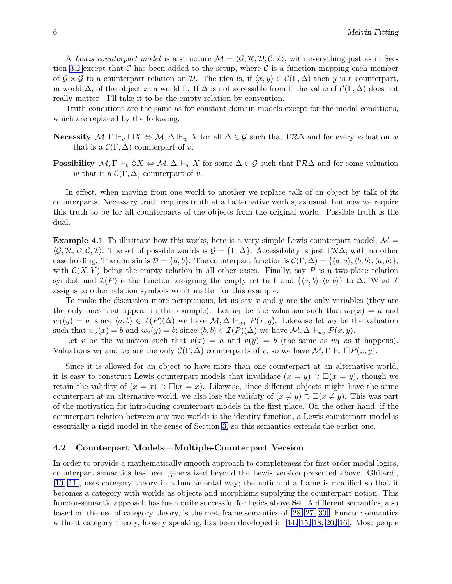<span id="page-5-0"></span>A Lewis counterpart model is a structure  $\mathcal{M} = \langle \mathcal{G}, \mathcal{R}, \mathcal{D}, \mathcal{C}, \mathcal{I} \rangle$ , with everything just as in Sec-tion [3.2](#page-3-0) except that  $\mathcal C$  has been added to the setup, where  $\mathcal C$  is a function mapping each member of  $\mathcal{G} \times \mathcal{G}$  to a counterpart relation on D. The idea is, if  $\langle x, y \rangle \in \mathcal{C}(\Gamma, \Delta)$  then *y* is a counterpart, in world  $\Delta$ , of the object *x* in world Γ. If  $\Delta$  is not accessible from Γ the value of  $\mathcal{C}(\Gamma, \Delta)$  does not really matter—I'll take it to be the empty relation by convention.

Truth conditions are the same as for constant domain models except for the modal conditions, which are replaced by the following.

- **Necessity**  $M, \Gamma \Vdash_v \Box X \Leftrightarrow M, \Delta \Vdash_w X$  for all  $\Delta \in \mathcal{G}$  such that  $\Gamma \mathcal{R}\Delta$  and for every valuation *w* that is a  $\mathcal{C}(\Gamma, \Delta)$  counterpart of *v*.
- **Possibility**  $M, \Gamma \Vdash_v \Diamond X \Leftrightarrow M, \Delta \Vdash_w X$  for some  $\Delta \in \mathcal{G}$  such that  $\Gamma \mathcal{R} \Delta$  and for some valuation *w* that is a  $\mathcal{C}(\Gamma, \Delta)$  counterpart of *v*.

In effect, when moving from one world to another we replace talk of an object by talk of its counterparts. Necessary truth requires truth at all alternative worlds, as usual, but now we require this truth to be for all counterparts of the objects from the original world. Possible truth is the dual.

**Example 4.1** To illustrate how this works, here is a very simple Lewis counterpart model,  $M =$  $\langle \mathcal{G}, \mathcal{R}, \mathcal{D}, \mathcal{C}, \mathcal{I} \rangle$ . The set of possible worlds is  $\mathcal{G} = \{\Gamma, \Delta\}$ . Accessibility is just  $\Gamma \mathcal{R} \Delta$ , with no other case holding. The domain is  $\mathcal{D} = \{a, b\}$ . The counterpart function is  $\mathcal{C}(\Gamma, \Delta) = \{\langle a, a \rangle, \langle b, b \rangle, \langle a, b \rangle\}$ , with  $\mathcal{C}(X, Y)$  being the empty relation in all other cases. Finally, say P is a two-place relation symbol, and  $\mathcal{I}(P)$  is the function assigning the empty set to  $\Gamma$  and  $\{\langle a, b \rangle, \langle b, b \rangle\}$  to  $\Delta$ . What  $\mathcal{I}$ assigns to other relation symbols won't matter for this example.

To make the discussion more perspicuous, let us say *x* and *y* are the only variables (they are the only ones that appear in this example). Let  $w_1$  be the valuation such that  $w_1(x) = a$  and  $w_1(y) = b$ ; since  $\langle a, b \rangle \in \mathcal{I}(P)(\Delta)$  we have  $\mathcal{M}, \Delta \Vdash_{w_1} P(x, y)$ . Likewise let  $w_2$  be the valuation such that  $w_2(x) = b$  and  $w_2(y) = b$ ; since  $\langle b, b \rangle \in \mathcal{I}(P)(\Delta)$  we have  $\mathcal{M}, \Delta \Vdash_{w_2} P(x, y)$ .

Let *v* be the valuation such that  $v(x) = a$  and  $v(y) = b$  (the same as  $w_1$  as it happens). Valuations  $w_1$  and  $w_2$  are the only  $\mathcal{C}(\Gamma, \Delta)$  counterparts of *v*, so we have  $\mathcal{M}, \Gamma \Vdash_v \Box P(x, y)$ .

Since it is allowed for an object to have more than one counterpart at an alternative world, it is easy to construct Lewis counterpart models that invalidate  $(x = y) \supset \Box(x = y)$ , though we retain the validity of  $(x = x) \supset \Box(x = x)$ . Likewise, since different objects might have the same counterpart at an alternative world, we also lose the validity of  $(x \neq y) \supset \Box(x \neq y)$ . This was part of the motivation for introducing counterpart models in the first place. On the other hand, if the counterpart relation between any two worlds is the identity function, a Lewis counterpart model is essentially a rigid model in the sense of Section [3,](#page-2-0) so this semantics extends the earlier one.

### **4.2 Counterpart Models—Multiple-Counterpart Version**

In order to provide a mathematically smooth approach to completeness for first-order modal logics, counterpart semantics has been generalized beyond the Lewis version presented above. Ghilardi, [\[10, 11\]](#page-19-0), uses category theory in a fundamental way; the notion of a frame is modified so that it becomes a category with worlds as objects and morphisms supplying the counterpart notion. This functor-semantic approach has been quite successful for logics above **S4**. A different semantics, also based on the use of category theory, is the metaframe semantics of [\[28, 27, 30\].](#page-20-0) Functor semantics without category theory, loosely speaking, has been developed in [\[14, 15, 18, 20, 16\].](#page-19-0) Most people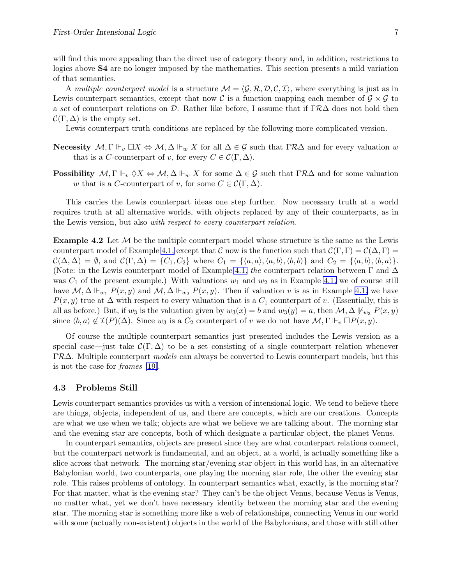will find this more appealing than the direct use of category theory and, in addition, restrictions to logics above **S4** are no longer imposed by the mathematics. This section presents a mild variation of that semantics.

A multiple counterpart model is a structure  $\mathcal{M} = \langle \mathcal{G}, \mathcal{R}, \mathcal{D}, \mathcal{C}, \mathcal{I} \rangle$ , where everything is just as in Lewis counterpart semantics, except that now C is a function mapping each member of  $\mathcal{G} \times \mathcal{G}$  to a set of counterpart relations on  $\mathcal D$ . Rather like before, I assume that if  $\Gamma \mathcal R\Delta$  does not hold then  $\mathcal{C}(\Gamma, \Delta)$  is the empty set.

Lewis counterpart truth conditions are replaced by the following more complicated version.

- **Necessity**  $M, \Gamma \Vdash_v \Box X \Leftrightarrow M, \Delta \Vdash_w X$  for all  $\Delta \in \mathcal{G}$  such that  $\Gamma \mathcal{R} \Delta$  and for every valuation *w* that is a *C*-counterpart of *v*, for every  $C \in \mathcal{C}(\Gamma, \Delta)$ .
- **Possibility**  $M, \Gamma \Vdash_v \Diamond X \Leftrightarrow M, \Delta \Vdash_w X$  for some  $\Delta \in \mathcal{G}$  such that  $\Gamma \mathcal{R} \Delta$  and for some valuation *w* that is a *C*-counterpart of *v*, for some  $C \in \mathcal{C}(\Gamma, \Delta)$ .

This carries the Lewis counterpart ideas one step further. Now necessary truth at a world requires truth at all alternative worlds, with objects replaced by any of their counterparts, as in the Lewis version, but also with respect to every counterpart relation.

**Example 4.2** Let M be the multiple counterpart model whose structure is the same as the Lewis counterpart model of Example [4.1,](#page-5-0) except that C now is the function such that  $\mathcal{C}(\Gamma,\Gamma)=\mathcal{C}(\Delta,\Gamma)=$  $\mathcal{C}(\Delta, \Delta) = \emptyset$ , and  $\mathcal{C}(\Gamma, \Delta) = \{C_1, C_2\}$  where  $C_1 = \{\langle a, a \rangle, \langle a, b \rangle, \langle b, b \rangle\}$  and  $C_2 = \{\langle a, b \rangle, \langle b, a \rangle\}.$ (Note: in the Lewis counterpart model of Example [4.1,](#page-5-0) the counterpart relation between  $\Gamma$  and  $\Delta$ was  $C_1$  of the present example.) With valuations  $w_1$  and  $w_2$  as in Example [4.1,](#page-5-0) we of course still have  $M, \Delta \Vdash_{w_1} P(x, y)$  and  $M, \Delta \Vdash_{w_2} P(x, y)$ . Then if valuation *v* is as in Example [4.1,](#page-5-0) we have *P*(*x, y*) true at  $\Delta$  with respect to every valuation that is a *C*<sub>1</sub> counterpart of *v*. (Essentially, this is all as before.) But, if  $w_3$  is the valuation given by  $w_3(x) = b$  and  $w_3(y) = a$ , then  $\mathcal{M}, \Delta \nvDash_{w_3} P(x, y)$ since  $\langle b, a \rangle \notin \mathcal{I}(P)(\Delta)$ . Since *w*<sub>3</sub> is a *C*<sub>2</sub> counterpart of *v* we do not have *M*,  $\Gamma \Vdash_v \Box P(x, y)$ .

Of course the multiple counterpart semantics just presented includes the Lewis version as a special case—just take  $\mathcal{C}(\Gamma, \Delta)$  to be a set consisting of a single counterpart relation whenever  $\Gamma R\Delta$ . Multiple counterpart models can always be converted to Lewis counterpart models, but this is not the case for frames [\[19\].](#page-19-0)

#### **4.3 Problems Still**

Lewis counterpart semantics provides us with a version of intensional logic. We tend to believe there are things, objects, independent of us, and there are concepts, which are our creations. Concepts are what we use when we talk; objects are what we believe we are talking about. The morning star and the evening star are concepts, both of which designate a particular object, the planet Venus.

In counterpart semantics, objects are present since they are what counterpart relations connect, but the counterpart network is fundamental, and an object, at a world, is actually something like a slice across that network. The morning star/evening star object in this world has, in an alternative Babylonian world, two counterparts, one playing the morning star role, the other the evening star role. This raises problems of ontology. In counterpart semantics what, exactly, is the morning star? For that matter, what is the evening star? They can't be the object Venus, because Venus is Venus, no matter what, yet we don't have necessary identity between the morning star and the evening star. The morning star is something more like a web of relationships, connecting Venus in our world with some (actually non-existent) objects in the world of the Babylonians, and those with still other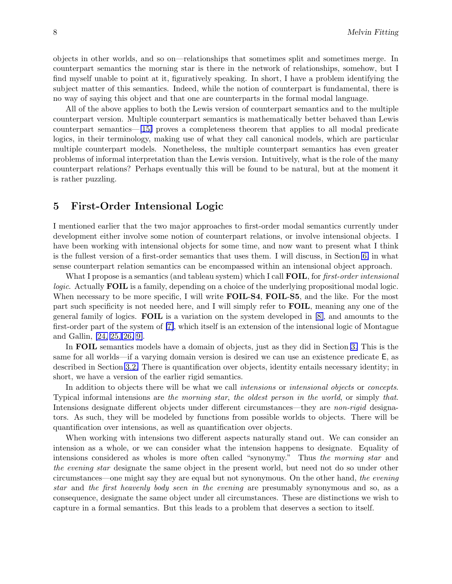objects in other worlds, and so on—relationships that sometimes split and sometimes merge. In counterpart semantics the morning star is there in the network of relationships, somehow, but I find myself unable to point at it, figuratively speaking. In short, I have a problem identifying the subject matter of this semantics. Indeed, while the notion of counterpart is fundamental, there is no way of saying this object and that one are counterparts in the formal modal language.

All of the above applies to both the Lewis version of counterpart semantics and to the multiple counterpart version. Multiple counterpart semantics is mathematically better behaved than Lewis counterpart semantics—[\[15\]](#page-19-0) proves a completeness theorem that applies to all modal predicate logics, in their terminology, making use of what they call canonical models, which are particular multiple counterpart models. Nonetheless, the multiple counterpart semantics has even greater problems of informal interpretation than the Lewis version. Intuitively, what is the role of the many counterpart relations? Perhaps eventually this will be found to be natural, but at the moment it is rather puzzling.

# **5 First-Order Intensional Logic**

I mentioned earlier that the two major approaches to first-order modal semantics currently under development either involve some notion of counterpart relations, or involve intensional objects. I have been working with intensional objects for some time, and now want to present what I think is the fullest version of a first-order semantics that uses them. I will discuss, in Section [6,](#page-11-0) in what sense counterpart relation semantics can be encompassed within an intensional object approach.

What I propose is a semantics (and tableau system) which I call **FOIL**, for *first-order intensional* logic. Actually **FOIL** is a family, depending on a choice of the underlying propositional modal logic. When necessary to be more specific, I will write **FOIL**-**S4**, **FOIL**-**S5**, and the like. For the most part such specificity is not needed here, and I will simply refer to **FOIL**, meaning any one of the general family of logics. **FOIL** is a variation on the system developed in [\[8\]](#page-19-0), and amounts to the first-order part of the system of [\[7\]](#page-19-0), which itself is an extension of the intensional logic of Montague and Gallin, [\[24, 25, 26,](#page-20-0) [9\]](#page-19-0).

In **FOIL** semantics models have a domain of objects, just as they did in Section [3.](#page-2-0) This is the same for all worlds—if a varying domain version is desired we can use an existence predicate E, as described in Section [3.2.](#page-3-0) There is quantification over objects, identity entails necessary identity; in short, we have a version of the earlier rigid semantics.

In addition to objects there will be what we call intensions or intensional objects or concepts. Typical informal intensions are the morning star, the oldest person in the world, or simply that. Intensions designate different objects under different circumstances—they are non-rigid designators. As such, they will be modeled by functions from possible worlds to objects. There will be quantification over intensions, as well as quantification over objects.

When working with intensions two different aspects naturally stand out. We can consider an intension as a whole, or we can consider what the intension happens to designate. Equality of intensions considered as wholes is more often called "synonymy." Thus the morning star and the evening star designate the same object in the present world, but need not do so under other circumstances—one might say they are equal but not synonymous. On the other hand, the evening star and the first heavenly body seen in the evening are presumably synonymous and so, as a consequence, designate the same object under all circumstances. These are distinctions we wish to capture in a formal semantics. But this leads to a problem that deserves a section to itself.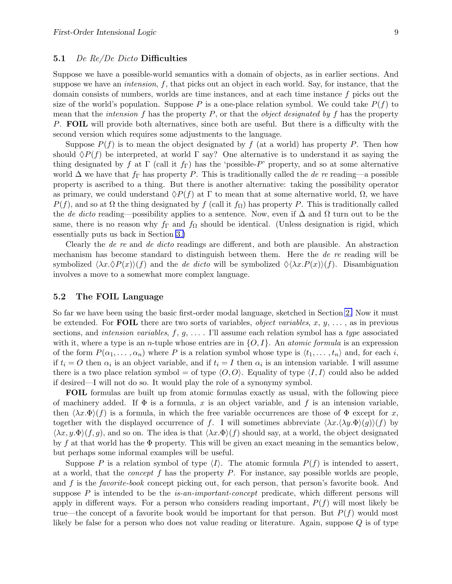### <span id="page-8-0"></span>**5.1** De Re/De Dicto **Difficulties**

Suppose we have a possible-world semantics with a domain of objects, as in earlier sections. And suppose we have an intension, *f*, that picks out an object in each world. Say, for instance, that the domain consists of numbers, worlds are time instances, and at each time instance *f* picks out the size of the world's population. Suppose P is a one-place relation symbol. We could take  $P(f)$  to mean that the intension *f* has the property *P*, or that the object designated by *f* has the property *P*. **FOIL** will provide both alternatives, since both are useful. But there is a difficulty with the second version which requires some adjustments to the language.

Suppose  $P(f)$  is to mean the object designated by f (at a world) has property P. Then how should  $\Diamond P(f)$  be interpreted, at world  $\Gamma$  say? One alternative is to understand it as saying the thing designated by *f* at  $\Gamma$  (call it  $f_{\Gamma}$ ) has the 'possible-*P*' property, and so at some alternative world  $\Delta$  we have that  $f_{\Gamma}$  has property *P*. This is traditionally called the *de re* reading—a possible property is ascribed to a thing. But there is another alternative: taking the possibility operator as primary, we could understand  $\Diamond P(f)$  at  $\Gamma$  to mean that at some alternative world,  $\Omega$ , we have  $P(f)$ , and so at  $\Omega$  the thing designated by *f* (call it  $f_{\Omega}$ ) has property *P*. This is traditionally called the de dicto reading—possibility applies to a sentence. Now, even if  $\Delta$  and  $\Omega$  turn out to be the same, there is no reason why  $f_{\Gamma}$  and  $f_{\Omega}$  should be identical. (Unless designation is rigid, which essentially puts us back in Section [3.\)](#page-2-0)

Clearly the de re and de dicto readings are different, and both are plausible. An abstraction mechanism has become standard to distinguish between them. Here the de re reading will be symbolized  $\langle \lambda x.\hat{P}(x)\rangle(f)$  and the *de dicto* will be symbolized  $\langle \lambda x.P(x)\rangle(f)$ . Disambiguation involves a move to a somewhat more complex language.

#### **5.2 The FOIL Language**

So far we have been using the basic first-order modal language, sketched in Section [2.](#page-1-0) Now it must be extended. For **FOIL** there are two sorts of variables, object variables, *x*, *y*, *...* , as in previous sections, and intension variables, *f*, *g*, *...* . I'll assume each relation symbol has a type associated with it, where a type is an *n*-tuple whose entries are in  $\{O, I\}$ . An *atomic formula* is an expression of the form  $P(\alpha_1, \ldots, \alpha_n)$  where P is a relation symbol whose type is  $\langle t_1, \ldots, t_n \rangle$  and, for each *i*, if  $t_i = O$  then  $\alpha_i$  is an object variable, and if  $t_i = I$  then  $\alpha_i$  is an intension variable. I will assume there is a two place relation symbol = of type  $\langle O, O \rangle$ . Equality of type  $\langle I, I \rangle$  could also be added if desired—I will not do so. It would play the role of a synonymy symbol.

**FOIL** formulas are built up from atomic formulas exactly as usual, with the following piece of machinery added. If  $\Phi$  is a formula, x is an object variable, and f is an intension variable, then  $\langle \lambda x.\Phi \rangle (f)$  is a formula, in which the free variable occurrences are those of  $\Phi$  except for *x*, together with the displayed occurrence of f. I will sometimes abbreviate  $\langle \lambda x. \langle \lambda y. \Phi \rangle (q) \rangle (f)$  by  $\langle \lambda x, y, \Phi \rangle (f, g)$ , and so on. The idea is that  $\langle \lambda x, \Phi \rangle (f)$  should say, at a world, the object designated by *f* at that world has the Φ property. This will be given an exact meaning in the semantics below, but perhaps some informal examples will be useful.

Suppose P is a relation symbol of type  $\langle I \rangle$ . The atomic formula  $P(f)$  is intended to assert, at a world, that the concept *f* has the property *P*. For instance, say possible worlds are people, and f is the favorite-book concept picking out, for each person, that person's favorite book. And suppose  $P$  is intended to be the *is-an-important-concept* predicate, which different persons will apply in different ways. For a person who considers reading important, *P*(*f*) will most likely be true—the concept of a favorite book would be important for that person. But  $P(f)$  would most likely be false for a person who does not value reading or literature. Again, suppose *Q* is of type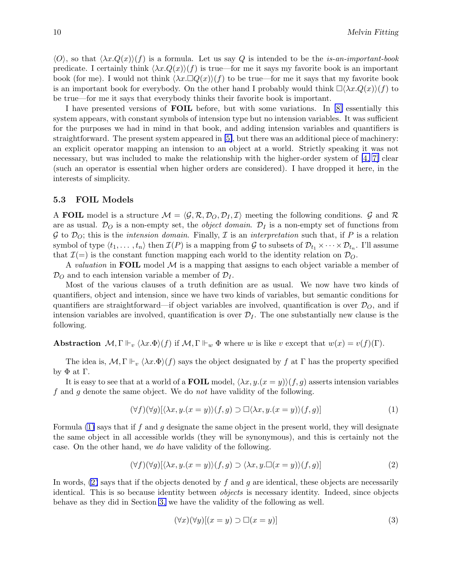$\langle O \rangle$ , so that  $\langle \lambda x. Q(x) \rangle$  is a formula. Let us say *Q* is intended to be the *is-an-important-book* predicate. I certainly think  $\langle \lambda x. Q(x) \rangle (f)$  is true—for me it says my favorite book is an important book (for me). I would not think  $\langle \lambda x. \Box Q(x) \rangle$  to be true—for me it says that my favorite book is an important book for everybody. On the other hand I probably would think  $\Box(\lambda x.Q(x))(f)$  to be true—for me it says that everybody thinks their favorite book is important.

I have presented versions of **FOIL** before, but with some variations. In [\[8\]](#page-19-0) essentially this system appears, with constant symbols of intension type but no intension variables. It was sufficient for the purposes we had in mind in that book, and adding intension variables and quantifiers is straightforward. The present system appeared in [\[5\]](#page-19-0), but there was an additional piece of machinery: an explicit operator mapping an intension to an object at a world. Strictly speaking it was not necessary, but was included to make the relationship with the higher-order system of [\[4, 7\]](#page-19-0) clear (such an operator is essential when higher orders are considered). I have dropped it here, in the interests of simplicity.

#### **5.3 FOIL Models**

A **FOIL** model is a structure  $M = \langle \mathcal{G}, \mathcal{R}, \mathcal{D}_O, \mathcal{D}_I, \mathcal{I} \rangle$  meeting the following conditions.  $\mathcal{G}$  and  $\mathcal{R}$ are as usual.  $\mathcal{D}_O$  is a non-empty set, the *object domain*.  $\mathcal{D}_I$  is a non-empty set of functions from G to  $\mathcal{D}_O$ ; this is the *intension domain*. Finally, T is an *interpretation* such that, if P is a relation symbol of type  $\langle t_1,\ldots,t_n\rangle$  then  $\mathcal{I}(P)$  is a mapping from G to subsets of  $\mathcal{D}_{t_1}\times\cdots\times\mathcal{D}_{t_n}$ . I'll assume that  $\mathcal{I}(=)$  is the constant function mapping each world to the identity relation on  $\mathcal{D}_O$ .

A valuation in **FOIL** model M is a mapping that assigns to each object variable a member of  $\mathcal{D}_O$  and to each intension variable a member of  $\mathcal{D}_I$ .

Most of the various clauses of a truth definition are as usual. We now have two kinds of quantifiers, object and intension, since we have two kinds of variables, but semantic conditions for quantifiers are straightforward—if object variables are involved, quantification is over  $\mathcal{D}_O$ , and if intension variables are involved, quantification is over  $\mathcal{D}_I$ . The one substantially new clause is the following.

**Abstraction**  $M, \Gamma \Vdash_v \langle \lambda x.\Phi \rangle(f)$  if  $M, \Gamma \Vdash_w \Phi$  where *w* is like *v* except that  $w(x) = v(f)(\Gamma)$ .

The idea is,  $\mathcal{M}, \Gamma \Vdash_v \langle \lambda x.\Phi \rangle (f)$  says the object designated by f at  $\Gamma$  has the property specified by  $\Phi$  at  $\Gamma$ .

It is easy to see that at a world of a **FOIL** model,  $\langle \lambda x, y \cdot (x = y) \rangle (f, g)$  asserts intension variables *f* and *g* denote the same object. We do not have validity of the following.

$$
(\forall f)(\forall g)[\langle \lambda x, y. (x = y) \rangle (f, g) \supset \Box \langle \lambda x, y. (x = y) \rangle (f, g)] \tag{1}
$$

Formula (1) says that if *f* and *g* designate the same object in the present world, they will designate the same object in all accessible worlds (they will be synonymous), and this is certainly not the case. On the other hand, we do have validity of the following.

$$
(\forall f)(\forall g)[(\lambda x, y.(x = y))(f, g) \supset (\lambda x, y. \Box(x = y))(f, g)] \tag{2}
$$

In words, (2) says that if the objects denoted by f and g are identical, these objects are necessarily identical. This is so because identity between objects is necessary identity. Indeed, since objects behave as they did in Section [3,](#page-2-0) we have the validity of the following as well.

$$
(\forall x)(\forall y)[(x = y) \supset \Box(x = y)] \tag{3}
$$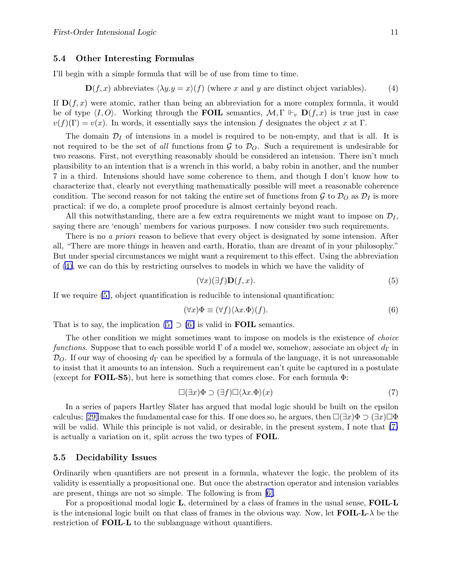#### <span id="page-10-0"></span>**5.4 Other Interesting Formulas**

I'll begin with a simple formula that will be of use from time to time.

$$
\mathbf{D}(f,x) \text{ abbreviates } \langle \lambda y. y = x \rangle(f) \text{ (where } x \text{ and } y \text{ are distinct object variables).} \tag{4}
$$

If  $\mathbf{D}(f,x)$  were atomic, rather than being an abbreviation for a more complex formula, it would be of type  $\langle I, O \rangle$ . Working through the **FOIL** semantics,  $\mathcal{M}, \Gamma \Vdash_v \mathbf{D}(f, x)$  is true just in case  $v(f)(\Gamma) = v(x)$ . In words, it essentially says the intension *f* designates the object *x* at Γ.

The domain  $\mathcal{D}_I$  of intensions in a model is required to be non-empty, and that is all. It is not required to be the set of all functions from  $\mathcal G$  to  $\mathcal D_O$ . Such a requirement is undesirable for two reasons. First, not everything reasonably should be considered an intension. There isn't much plausibility to an intention that is a wrench in this world, a baby robin in another, and the number 7 in a third. Intensions should have some coherence to them, and though I don't know how to characterize that, clearly not everything mathematically possible will meet a reasonable coherence condition. The second reason for not taking the entire set of functions from  $\mathcal G$  to  $\mathcal D_O$  as  $\mathcal D_I$  is more practical: if we do, a complete proof procedure is almost certainly beyond reach.

All this notwithstanding, there are a few extra requirements we might want to impose on  $\mathcal{D}_I$ , saying there are 'enough' members for various purposes. I now consider two such requirements.

There is no a *priori* reason to believe that every object is designated by some intension. After all, "There are more things in heaven and earth, Horatio, than are dreamt of in your philosophy." But under special circumstances we might want a requirement to this effect. Using the abbreviation of (4), we can do this by restricting ourselves to models in which we have the validity of

$$
(\forall x)(\exists f)\mathbf{D}(f,x). \tag{5}
$$

If we require (5), object quantification is reducible to intensional quantification:

$$
(\forall x)\Phi \equiv (\forall f)(\lambda x.\Phi)(f). \tag{6}
$$

That is to say, the implication  $(5) \supset (6)$  is valid in **FOIL** semantics.

The other condition we might sometimes want to impose on models is the existence of *choice* functions. Suppose that to each possible world  $\Gamma$  of a model we, somehow, associate an object  $d_{\Gamma}$  in  $\mathcal{D}_O$ . If our way of choosing  $d_{\Gamma}$  can be specified by a formula of the language, it is not unreasonable to insist that it amounts to an intension. Such a requirement can't quite be captured in a postulate (except for **FOIL**-**S5**), but here is something that comes close. For each formula Φ:

$$
\Box(\exists x)\Phi \supset (\exists f)\Box \langle \lambda x.\Phi \rangle (x) \tag{7}
$$

In a series of papers Hartley Slater has argued that modal logic should be built on the epsilon calculus; [\[29\]](#page-20-0) makes the fundamental case for this. If one does so, he argues, then  $\square(\exists x)\Phi\supset (\exists x)\square\Phi$ will be valid. While this principle is not valid, or desirable, in the present system, I note that (7) is actually a variation on it, split across the two types of **FOIL**.

### **5.5 Decidability Issues**

Ordinarily when quantifiers are not present in a formula, whatever the logic, the problem of its validity is essentially a propositional one. But once the abstraction operator and intension variables are present, things are not so simple. The following is from [\[6\].](#page-19-0)

For a propositional modal logic **L**, determined by a class of frames in the usual sense, **FOIL**-**L** is the intensional logic built on that class of frames in the obvious way. Now, let  $\text{FOIL-L-}\lambda$  be the restriction of **FOIL**-**L** to the sublanguage without quantifiers.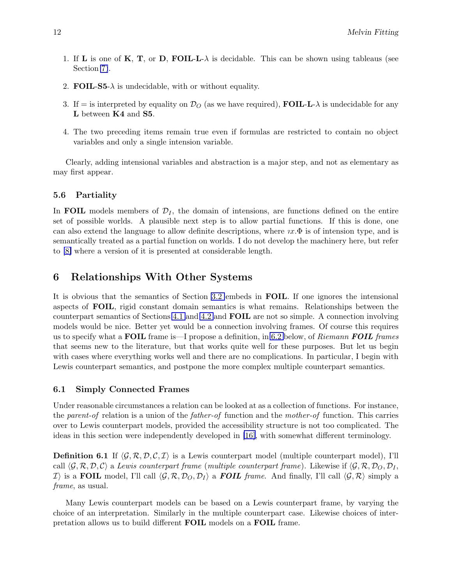- <span id="page-11-0"></span>1. If **L** is one of **K**, **T**, or **D**, **FOIL**-**L**-*λ* is decidable. This can be shown using tableaus (see Section [7\)](#page-16-0).
- 2. **FOIL-S5-** $\lambda$  is undecidable, with or without equality.
- 3. If  $=$  is interpreted by equality on  $\mathcal{D}_O$  (as we have required), **FOIL-L**- $\lambda$  is undecidable for any **L** between **K4** and **S5**.
- 4. The two preceding items remain true even if formulas are restricted to contain no object variables and only a single intension variable.

Clearly, adding intensional variables and abstraction is a major step, and not as elementary as may first appear.

### **5.6 Partiality**

In **FOIL** models members of  $\mathcal{D}_I$ , the domain of intensions, are functions defined on the entire set of possible worlds. A plausible next step is to allow partial functions. If this is done, one can also extend the language to allow definite descriptions, where *<sup>ι</sup> x.*Φ is of intension type, and is semantically treated as a partial function on worlds. I do not develop the machinery here, but refer to [\[8\]](#page-19-0) where a version of it is presented at considerable length.

# **6 Relationships With Other Systems**

It is obvious that the semantics of Section [3.2](#page-3-0) embeds in **FOIL**. If one ignores the intensional aspects of **FOIL**, rigid constant domain semantics is what remains. Relationships between the counterpart semantics of Sections [4.1](#page-4-0) and [4.2](#page-5-0) and **FOIL** are not so simple. A connection involving models would be nice. Better yet would be a connection involving frames. Of course this requires us to specify what a **FOIL** frame is—I propose a definition, in [6.2](#page-13-0) below, of Riemann *FOIL* frames that seems new to the literature, but that works quite well for these purposes. But let us begin with cases where everything works well and there are no complications. In particular, I begin with Lewis counterpart semantics, and postpone the more complex multiple counterpart semantics.

### **6.1 Simply Connected Frames**

Under reasonable circumstances a relation can be looked at as a collection of functions. For instance, the parent-of relation is a union of the *father-of* function and the mother-of function. This carries over to Lewis counterpart models, provided the accessibility structure is not too complicated. The ideas in this section were independently developed in [\[16\],](#page-19-0) with somewhat different terminology.

**Definition 6.1** If  $\langle \mathcal{G}, \mathcal{R}, \mathcal{D}, \mathcal{C}, \mathcal{I} \rangle$  is a Lewis counterpart model (multiple counterpart model), I'll call  $\langle \mathcal{G}, \mathcal{R}, \mathcal{D}, \mathcal{C} \rangle$  a Lewis counterpart frame (multiple counterpart frame). Likewise if  $\langle \mathcal{G}, \mathcal{R}, \mathcal{D}_O, \mathcal{D}_I$ ,  $I$  is a **FOIL** model, I'll call  $\langle \mathcal{G}, \mathcal{R}, \mathcal{D}_O, \mathcal{D}_I \rangle$  a **FOIL** frame. And finally, I'll call  $\langle \mathcal{G}, \mathcal{R} \rangle$  simply a frame, as usual.

Many Lewis counterpart models can be based on a Lewis counterpart frame, by varying the choice of an interpretation. Similarly in the multiple counterpart case. Likewise choices of interpretation allows us to build different **FOIL** models on a **FOIL** frame.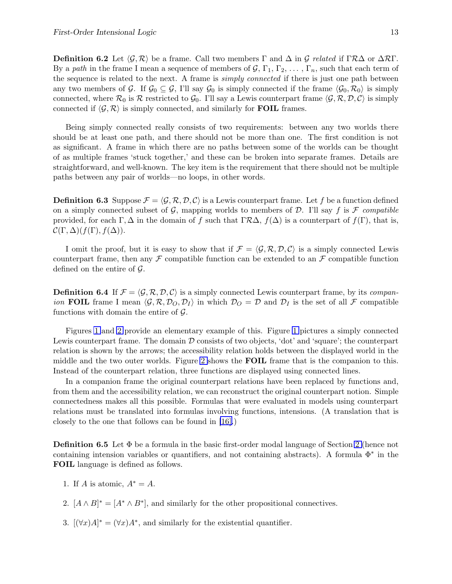<span id="page-12-0"></span>**Definition 6.2** Let  $\langle \mathcal{G}, \mathcal{R} \rangle$  be a frame. Call two members  $\Gamma$  and  $\Delta$  in  $\mathcal{G}$  related if  $\Gamma \mathcal{R} \Delta$  or  $\Delta \mathcal{R} \Gamma$ . By a path in the frame I mean a sequence of members of  $\mathcal{G}, \Gamma_1, \Gamma_2, \ldots, \Gamma_n$ , such that each term of the sequence is related to the next. A frame is *simply connected* if there is just one path between any two members of G. If  $\mathcal{G}_0 \subseteq \mathcal{G}$ , I'll say  $\mathcal{G}_0$  is simply connected if the frame  $\langle \mathcal{G}_0, \mathcal{R}_0 \rangle$  is simply connected, where  $\mathcal{R}_0$  is  $\mathcal{R}$  restricted to  $\mathcal{G}_0$ . I'll say a Lewis counterpart frame  $\langle \mathcal{G}, \mathcal{R}, \mathcal{D}, \mathcal{C} \rangle$  is simply connected if  $\langle \mathcal{G}, \mathcal{R} \rangle$  is simply connected, and similarly for **FOIL** frames.

Being simply connected really consists of two requirements: between any two worlds there should be at least one path, and there should not be more than one. The first condition is not as significant. A frame in which there are no paths between some of the worlds can be thought of as multiple frames 'stuck together,' and these can be broken into separate frames. Details are straightforward, and well-known. The key item is the requirement that there should not be multiple paths between any pair of worlds—no loops, in other words.

**Definition 6.3** Suppose  $\mathcal{F} = \langle \mathcal{G}, \mathcal{R}, \mathcal{D}, \mathcal{C} \rangle$  is a Lewis counterpart frame. Let f be a function defined on a simply connected subset of  $G$ , mapping worlds to members of  $D$ . I'll say f is  $F$  compatible provided, for each Γ,  $\Delta$  in the domain of f such that  $\Gamma \mathcal{R} \Delta$ ,  $f(\Delta)$  is a counterpart of  $f(\Gamma)$ , that is,  $\mathcal{C}(\Gamma, \Delta)(f(\Gamma), f(\Delta)).$ 

I omit the proof, but it is easy to show that if  $\mathcal{F} = \langle \mathcal{G}, \mathcal{R}, \mathcal{D}, \mathcal{C} \rangle$  is a simply connected Lewis counterpart frame, then any  $\mathcal F$  compatible function can be extended to an  $\mathcal F$  compatible function defined on the entire of  $\mathcal{G}$ .

**Definition 6.4** If  $\mathcal{F} = \langle \mathcal{G}, \mathcal{R}, \mathcal{D}, \mathcal{C} \rangle$  is a simply connected Lewis counterpart frame, by its *compan*ion **FOIL** frame I mean  $\langle \mathcal{G}, \mathcal{R}, \mathcal{D}_O, \mathcal{D}_I \rangle$  in which  $\mathcal{D}_O = \mathcal{D}$  and  $\mathcal{D}_I$  is the set of all F compatible functions with domain the entire of  $\mathcal{G}$ .

Figures [1](#page-13-0) and [2](#page-13-0) provide an elementary example of this. Figure [1](#page-13-0) pictures a simply connected Lewis counterpart frame. The domain  $\mathcal D$  consists of two objects, 'dot' and 'square'; the counterpart relation is shown by the arrows; the accessibility relation holds between the displayed world in the middle and the two outer worlds. Figure [2](#page-13-0) shows the **FOIL** frame that is the companion to this. Instead of the counterpart relation, three functions are displayed using connected lines.

In a companion frame the original counterpart relations have been replaced by functions and, from them and the accessibility relation, we can reconstruct the original counterpart notion. Simple connectedness makes all this possible. Formulas that were evaluated in models using counterpart relations must be translated into formulas involving functions, intensions. (A translation that is closely to the one that follows can be found in [\[16\].](#page-19-0))

**Definition 6.5** Let  $\Phi$  be a formula in the basic first-order modal language of Section [2](#page-1-0) (hence not containing intension variables or quantifiers, and not containing abstracts). A formula  $\Phi^*$  in the **FOIL** language is defined as follows.

- 1. If *A* is atomic,  $A^* = A$ .
- 2.  $[A \wedge B]^* = [A^* \wedge B^*]$ , and similarly for the other propositional connectives.
- 3.  $[(\forall x)A]^* = (\forall x)A^*$ , and similarly for the existential quantifier.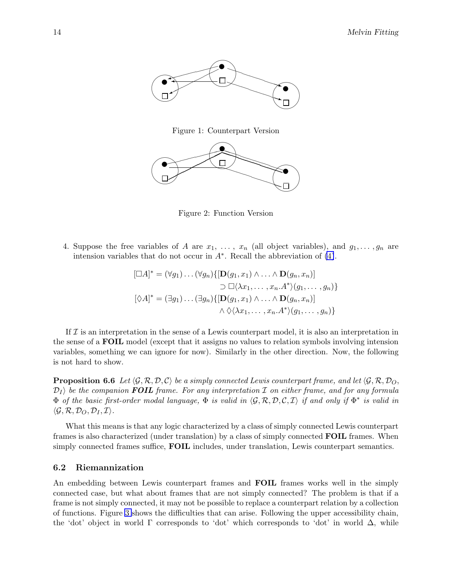<span id="page-13-0"></span>

Figure 1: Counterpart Version



Figure 2: Function Version

4. Suppose the free variables of *A* are  $x_1, \ldots, x_n$  (all object variables), and  $g_1, \ldots, g_n$  are intension variables that do not occur in  $A^*$ . Recall the abbreviation of [\(4\)](#page-10-0).

$$
[\Box A]^* = (\forall g_1) \dots (\forall g_n) \{ [\mathbf{D}(g_1, x_1) \land \dots \land \mathbf{D}(g_n, x_n)]
$$
  
\n
$$
\supset \Box \langle \lambda x_1, \dots, x_n. A^* \rangle (g_1, \dots, g_n) \}
$$
  
\n
$$
[\Diamond A]^* = (\exists g_1) \dots (\exists g_n) \{ [\mathbf{D}(g_1, x_1) \land \dots \land \mathbf{D}(g_n, x_n)]
$$
  
\n
$$
\land \Diamond \langle \lambda x_1, \dots, x_n. A^* \rangle (g_1, \dots, g_n) \}
$$

If  $\mathcal I$  is an interpretation in the sense of a Lewis counterpart model, it is also an interpretation in the sense of a **FOIL** model (except that it assigns no values to relation symbols involving intension variables, something we can ignore for now). Similarly in the other direction. Now, the following is not hard to show.

**Proposition 6.6** Let  $\langle \mathcal{G}, \mathcal{R}, \mathcal{D}, \mathcal{C} \rangle$  be a simply connected Lewis counterpart frame, and let  $\langle \mathcal{G}, \mathcal{R}, \mathcal{D}_{\mathcal{O}},$  $\mathcal{D}_I$  be the companion **FOIL** frame. For any interpretation I on either frame, and for any formula  $\Phi$  of the basic first-order modal language,  $\Phi$  is valid in  $\langle \mathcal{G}, \mathcal{R}, \mathcal{D}, \mathcal{C}, \mathcal{I} \rangle$  if and only if  $\Phi^*$  is valid in  $\langle \mathcal{G}, \mathcal{R}, \mathcal{D}_O, \mathcal{D}_I, \mathcal{I} \rangle$ .

What this means is that any logic characterized by a class of simply connected Lewis counterpart frames is also characterized (under translation) by a class of simply connected **FOIL** frames. When simply connected frames suffice, **FOIL** includes, under translation, Lewis counterpart semantics.

#### **6.2 Riemannization**

An embedding between Lewis counterpart frames and **FOIL** frames works well in the simply connected case, but what about frames that are not simply connected? The problem is that if a frame is not simply connected, it may not be possible to replace a counterpart relation by a collection of functions. Figure [3](#page-14-0) shows the difficulties that can arise. Following the upper accessibility chain, the 'dot' object in world  $\Gamma$  corresponds to 'dot' which corresponds to 'dot' in world  $\Delta$ , while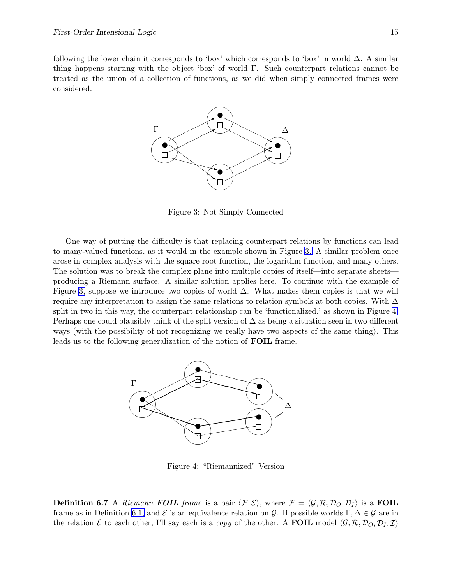<span id="page-14-0"></span>following the lower chain it corresponds to 'box' which corresponds to 'box' in world  $\Delta$ . A similar thing happens starting with the object 'box' of world Γ. Such counterpart relations cannot be treated as the union of a collection of functions, as we did when simply connected frames were considered.



Figure 3: Not Simply Connected

One way of putting the difficulty is that replacing counterpart relations by functions can lead to many-valued functions, as it would in the example shown in Figure 3. A similar problem once arose in complex analysis with the square root function, the logarithm function, and many others. The solution was to break the complex plane into multiple copies of itself—into separate sheets producing a Riemann surface. A similar solution applies here. To continue with the example of Figure 3, suppose we introduce two copies of world  $\Delta$ . What makes them copies is that we will require any interpretation to assign the same relations to relation symbols at both copies. With  $\Delta$ split in two in this way, the counterpart relationship can be 'functionalized,' as shown in Figure 4. Perhaps one could plausibly think of the split version of  $\Delta$  as being a situation seen in two different ways (with the possibility of not recognizing we really have two aspects of the same thing). This leads us to the following generalization of the notion of **FOIL** frame.



Figure 4: "Riemannized" Version

**Definition 6.7** A Riemann **FOIL** frame is a pair  $\langle \mathcal{F}, \mathcal{E} \rangle$ , where  $\mathcal{F} = \langle \mathcal{G}, \mathcal{R}, \mathcal{D}_O, \mathcal{D}_I \rangle$  is a **FOIL** frame as in Definition [6.1,](#page-11-0) and  $\mathcal E$  is an equivalence relation on  $\mathcal G$ . If possible worlds  $\Gamma, \Delta \in \mathcal G$  are in the relation  $\mathcal E$  to each other, I'll say each is a *copy* of the other. A FOIL model  $\langle \mathcal G, \mathcal R, \mathcal D_O, \mathcal D_I, \mathcal I \rangle$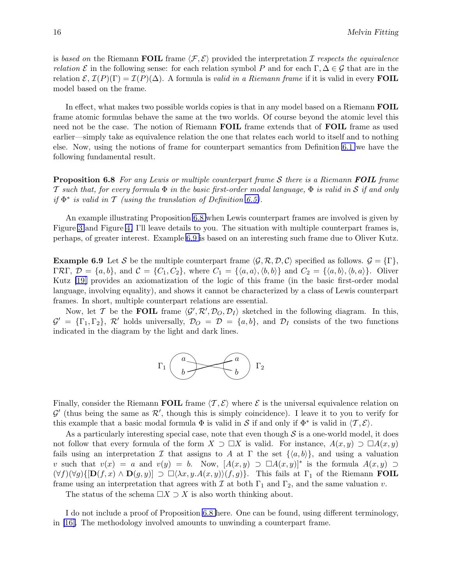is based on the Riemann **FOIL** frame  $\langle \mathcal{F}, \mathcal{E} \rangle$  provided the interpretation I respects the equivalence *relation*  $\mathcal{E}$  in the following sense: for each relation symbol *P* and for each  $\Gamma, \Delta \in \mathcal{G}$  that are in the relation  $\mathcal{E}, \mathcal{I}(P)(\Gamma) = \mathcal{I}(P)(\Delta)$ . A formula is *valid in a Riemann frame* if it is valid in every **FOIL** model based on the frame.

In effect, what makes two possible worlds copies is that in any model based on a Riemann **FOIL** frame atomic formulas behave the same at the two worlds. Of course beyond the atomic level this need not be the case. The notion of Riemann **FOIL** frame extends that of **FOIL** frame as used earlier—simply take as equivalence relation the one that relates each world to itself and to nothing else. Now, using the notions of frame for counterpart semantics from Definition [6.1](#page-11-0) we have the following fundamental result.

**Proposition 6.8** For any Lewis or multiple counterpart frame S there is a Riemann *FOIL* frame T such that, for every formula  $\Phi$  in the basic first-order modal language,  $\Phi$  is valid in S if and only if  $\Phi^*$  is valid in T (using the translation of Definition [6.5\)](#page-12-0).

An example illustrating Proposition 6.8 when Lewis counterpart frames are involved is given by Figure [3](#page-14-0) and Figure [4.](#page-14-0) I'll leave details to you. The situation with multiple counterpart frames is, perhaps, of greater interest. Example 6.9 is based on an interesting such frame due to Oliver Kutz.

**Example 6.9** Let S be the multiple counterpart frame  $\langle \mathcal{G}, \mathcal{R}, \mathcal{D}, \mathcal{C} \rangle$  specified as follows.  $\mathcal{G} = \{\Gamma\},\$ ΓRΓ,  $D = \{a, b\}$ , and  $C = \{C_1, C_2\}$ , where  $C_1 = \{\langle a, a \rangle, \langle b, b \rangle\}$  and  $C_2 = \{\langle a, b \rangle, \langle b, a \rangle\}$ . Oliver Kutz [\[19\]](#page-19-0) provides an axiomatization of the logic of this frame (in the basic first-order modal language, involving equality), and shows it cannot be characterized by a class of Lewis counterpart frames. In short, multiple counterpart relations are essential.

Now, let T be the **FOIL** frame  $\langle \mathcal{G}', \mathcal{R}', \mathcal{D}_O, \mathcal{D}_I \rangle$  sketched in the following diagram. In this,  $\mathcal{G}' = {\{\Gamma_1,\Gamma_2\}}$ ,  $\mathcal{R}'$  holds universally,  $\mathcal{D}_O = \mathcal{D} = \{a,b\}$ , and  $\mathcal{D}_I$  consists of the two functions indicated in the diagram by the light and dark lines.



Finally, consider the Riemann **FOIL** frame  $\langle \mathcal{T}, \mathcal{E} \rangle$  where  $\mathcal{E}$  is the universal equivalence relation on  $\mathcal{G}'$  (thus being the same as  $\mathcal{R}'$ , though this is simply coincidence). I leave it to you to verify for this example that a basic modal formula  $\Phi$  is valid in S if and only if  $\Phi^*$  is valid in  $\langle T, \mathcal{E} \rangle$ .

As a particularly interesting special case, note that even though  $S$  is a one-world model, it does not follow that every formula of the form  $X \supset \Box X$  is valid. For instance,  $A(x, y) \supset \Box A(x, y)$ fails using an interpretation I that assigns to A at  $\Gamma$  the set  $\{\langle a, b \rangle\}$ , and using a valuation *v* such that  $v(x) = a$  and  $v(y) = b$ . Now,  $[A(x, y) \supseteq A(x, y)]^*$  is the formula  $A(x, y) \supseteq A(x, y)$  $(\forall f)(\forall g)[\mathbf{D}(f,x) \land \mathbf{D}(g,y)] \supset \Box(\lambda x,y.A(x,y))(f,g)$ . This fails at  $\Gamma_1$  of the Riemann **FOIL** frame using an interpretation that agrees with  $\mathcal I$  at both  $\Gamma_1$  and  $\Gamma_2$ , and the same valuation  $v$ .

The status of the schema  $\Box X \supset X$  is also worth thinking about.

I do not include a proof of Proposition 6.8 here. One can be found, using different terminology, in [\[16\].](#page-19-0) The methodology involved amounts to unwinding a counterpart frame.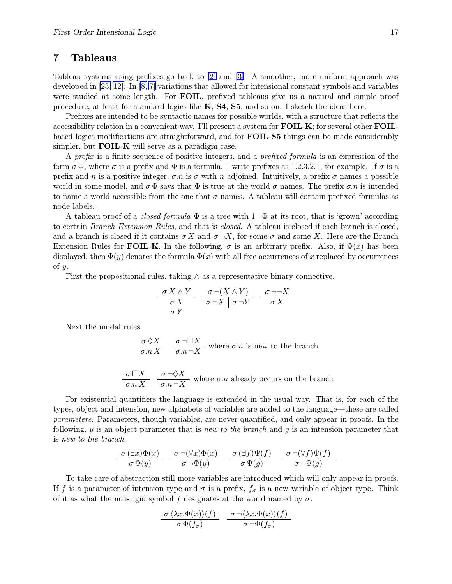## <span id="page-16-0"></span>**7 Tableaus**

Tableau systems using prefixes go back to [\[2\]](#page-18-0) and [\[3\]](#page-19-0). A smoother, more uniform approach was developed in [\[23,](#page-20-0) [12\].](#page-19-0) In [\[8, 7\]](#page-19-0) variations that allowed for intensional constant symbols and variables were studied at some length. For **FOIL**, prefixed tableaus give us a natural and simple proof procedure, at least for standard logics like **K**, **S4**, **S5**, and so on. I sketch the ideas here.

Prefixes are intended to be syntactic names for possible worlds, with a structure that reflects the accessibility relation in a convenient way. I'll present a system for **FOIL**-**K**; for several other **FOIL**based logics modifications are straightforward, and for **FOIL**-**S5** things can be made considerably simpler, but **FOIL**-**K** will serve as a paradigm case.

A prefix is a finite sequence of positive integers, and a prefixed formula is an expression of the form  $\sigma \Phi$ , where  $\sigma$  is a prefix and  $\Phi$  is a formula. I write prefixes as 1.2.3.2.1, for example. If  $\sigma$  is a prefix and *n* is a positive integer,  $\sigma.n$  is  $\sigma$  with *n* adjoined. Intuitively, a prefix  $\sigma$  names a possible world in some model, and  $\sigma \Phi$  says that  $\Phi$  is true at the world  $\sigma$  names. The prefix  $\sigma.n$  is intended to name a world accessible from the one that  $\sigma$  names. A tableau will contain prefixed formulas as node labels.

A tableau proof of a *closed formula*  $\Phi$  is a tree with  $1\neg \Phi$  at its root, that is 'grown' according to certain *Branch Extension Rules*, and that is *closed*. A tableau is closed if each branch is closed, and a branch is closed if it contains  $\sigma X$  and  $\sigma \neg X$ , for some  $\sigma$  and some X. Here are the Branch Extension Rules for **FOIL-K**. In the following,  $\sigma$  is an arbitrary prefix. Also, if  $\Phi(x)$  has been displayed, then  $\Phi(y)$  denotes the formula  $\Phi(x)$  with all free occurrences of x replaced by occurrences of *y*.

First the propositional rules, taking ∧ as a representative binary connective.

$$
\begin{array}{c|cc}\n\sigma X \wedge Y & \sigma \neg (X \wedge Y) & \sigma \neg \neg X \\
\hline\n\sigma X & \sigma \neg X & \sigma \neg Y & \sigma X \\
\hline\n\sigma Y\n\end{array}
$$

Next the modal rules.

$$
\frac{\sigma \lozenge X}{\sigma.n X} \quad \frac{\sigma \neg \Box X}{\sigma.n \neg X} \text{ where } \sigma.n \text{ is new to the branch}
$$

$$
\frac{\sigma \Box X}{\sigma.n X} \quad \frac{\sigma \neg \Diamond X}{\sigma.n \neg X} \text{ where } \sigma.n \text{ already occurs on the branch}
$$

For existential quantifiers the language is extended in the usual way. That is, for each of the types, object and intension, new alphabets of variables are added to the language—these are called parameters. Parameters, though variables, are never quantified, and only appear in proofs. In the following, *y* is an object parameter that is new to the branch and *g* is an intension parameter that is new to the branch.

$$
\frac{\sigma(\exists x)\Phi(x)}{\sigma\Phi(y)} \quad \frac{\sigma(\forall x)\Phi(x)}{\sigma\Box\Phi(y)} \quad \frac{\sigma(\exists f)\Psi(f)}{\sigma\Psi(g)} \quad \frac{\sigma(\forall f)\Psi(f)}{\sigma\Box\Psi(g)}
$$

To take care of abstraction still more variables are introduced which will only appear in proofs. If f is a parameter of intension type and  $\sigma$  is a prefix,  $f_{\sigma}$  is a new variable of object type. Think of it as what the non-rigid symbol  $f$  designates at the world named by  $\sigma$ .

$$
\frac{\sigma \langle \lambda x. \Phi(x) \rangle(f)}{\sigma \Phi(f_\sigma)} \frac{\sigma \neg \langle \lambda x. \Phi(x) \rangle(f)}{\sigma \neg \Phi(f_\sigma)}
$$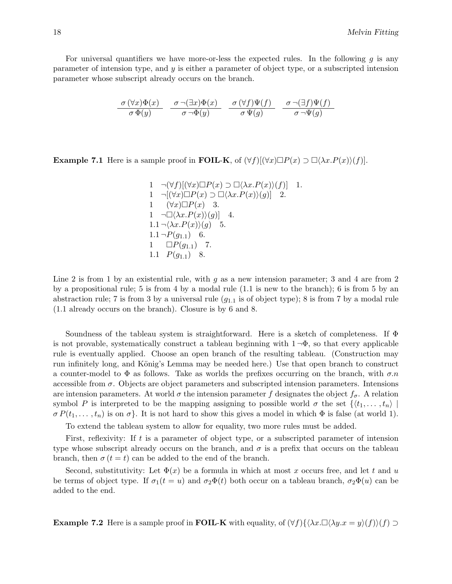For universal quantifiers we have more-or-less the expected rules. In the following *g* is any parameter of intension type, and *y* is either a parameter of object type, or a subscripted intension parameter whose subscript already occurs on the branch.

$$
\frac{\sigma(\forall x)\Phi(x)}{\sigma\,\Phi(y)} \quad \frac{\sigma\,\neg(\exists x)\Phi(x)}{\sigma\,\neg\Phi(y)} \quad \frac{\sigma\,(\forall f)\Psi(f)}{\sigma\,\Psi(g)} \quad \frac{\sigma\,\neg(\exists f)\Psi(f)}{\sigma\,\neg\Psi(g)}
$$

**Example 7.1** Here is a sample proof in **FOIL-K**, of  $(\forall f)[(\forall x)\Box P(x) \supset \Box(\lambda x.P(x))(f)].$ 

1 
$$
\neg(\forall f)[(\forall x)\Box P(x) \supset \Box(\lambda x.P(x))(f)]
$$
 1.  
\n1  $\neg[(\forall x)\Box P(x) \supset \Box(\lambda x.P(x))(g)]$  2.  
\n1  $(\forall x)\Box P(x)$  3.  
\n1  $\neg \Box(\lambda x.P(x))(g)$  4.  
\n1.1  $\neg(\lambda x.P(x))(g)$  5.  
\n1.1  $\neg P(g_{1.1})$  6.  
\n1  $\Box P(g_{1.1})$  7.  
\n1.1  $P(g_{1.1})$  8.

Line 2 is from 1 by an existential rule, with *g* as a new intension parameter; 3 and 4 are from 2 by a propositional rule; 5 is from 4 by a modal rule (1.1 is new to the branch); 6 is from 5 by an abstraction rule; 7 is from 3 by a universal rule  $(g_{1,1}$  is of object type); 8 is from 7 by a modal rule (1.1 already occurs on the branch). Closure is by 6 and 8.

Soundness of the tableau system is straightforward. Here is a sketch of completeness. If  $\Phi$ is not provable, systematically construct a tableau beginning with  $1\neg \Phi$ , so that every applicable rule is eventually applied. Choose an open branch of the resulting tableau. (Construction may run infinitely long, and König's Lemma may be needed here.) Use that open branch to construct a counter-model to  $\Phi$  as follows. Take as worlds the prefixes occurring on the branch, with  $\sigma.n$ accessible from  $\sigma$ . Objects are object parameters and subscripted intension parameters. Intensions are intension parameters. At world  $\sigma$  the intension parameter f designates the object  $f_{\sigma}$ . A relation symbol *P* is interpreted to be the mapping assigning to possible world  $\sigma$  the set  $\{\langle t_1,\ldots,t_n\rangle\}$  $\sigma P(t_1,\ldots,t_n)$  is on  $\sigma$ . It is not hard to show this gives a model in which  $\Phi$  is false (at world 1).

To extend the tableau system to allow for equality, two more rules must be added.

First, reflexivity: If *t* is a parameter of object type, or a subscripted parameter of intension type whose subscript already occurs on the branch, and  $\sigma$  is a prefix that occurs on the tableau branch, then  $\sigma(t=t)$  can be added to the end of the branch.

Second, substitutivity: Let  $\Phi(x)$  be a formula in which at most x occurs free, and let t and u be terms of object type. If  $\sigma_1(t = u)$  and  $\sigma_2\Phi(t)$  both occur on a tableau branch,  $\sigma_2\Phi(u)$  can be added to the end.

**Example 7.2** Here is a sample proof in **FOIL-K** with equality, of  $(\forall f)(\{\lambda x.\Box(\lambda y.x = y)(f)\}(f) \supset$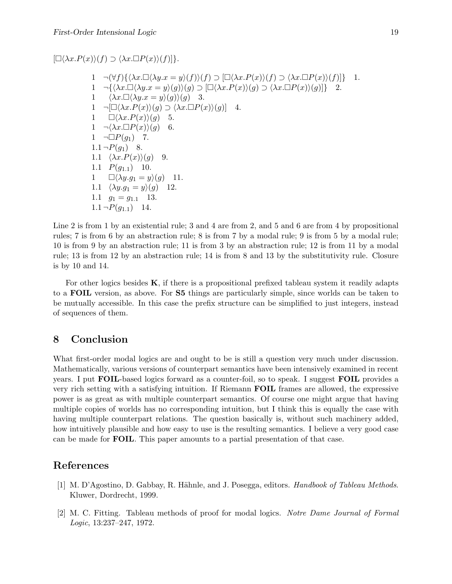<span id="page-18-0"></span> $[\Box \langle \lambda x. P(x) \rangle (f) \supset \langle \lambda x. \Box P(x) \rangle (f)]\}.$  $1 - (\forall f)\{\langle \lambda x.\Box(\lambda y.x = y)(f)\rangle(f) \supset [\Box(\lambda x.P(x))\langle f\rangle] \supset \langle \lambda x.\Box P(x)\rangle(f)|\}$  1.  $1 \quad \neg {\{\langle \lambda x.\Box \langle \lambda y.x = y \rangle (g) \rangle(g) \supset \Box \langle \lambda x.P(x) \rangle(g) \supset \langle \lambda x.\Box P(x) \rangle(g) \}}$  2. 1  $\langle \lambda x.\Box(\lambda y.x = y)(g)\rangle(g)$  3.  $1 \quad \neg \left[ \Box \langle \lambda x. P(x) \rangle (g) \supset \langle \lambda x. \Box P(x) \rangle (g) \right]$  4.  $1 \Box \langle \lambda x.P(x)\rangle (g)$  5.  $1 - \langle \lambda x . \Box P(x) \rangle (q)$  6.  $1 \quad \neg \Box P(g_1) \quad 7.$ 1.1 $\neg P(g_1)$  8*.* 1.1  $\langle \lambda x.P(x)\rangle(g)$  9. 1*.*1 *P*(*g*1.1) 10*.*  $1 \quad \Box \langle \lambda y.g_1 = y \rangle (g) \quad 11.$ 1.1  $\langle \lambda y.g_1 = y \rangle(g)$  12. 1.1  $g_1 = g_{1,1}$  13*.* 1.1 $\neg P(g_{1.1})$  14*.* 

Line 2 is from 1 by an existential rule; 3 and 4 are from 2, and 5 and 6 are from 4 by propositional rules; 7 is from 6 by an abstraction rule; 8 is from 7 by a modal rule; 9 is from 5 by a modal rule; 10 is from 9 by an abstraction rule; 11 is from 3 by an abstraction rule; 12 is from 11 by a modal rule; 13 is from 12 by an abstraction rule; 14 is from 8 and 13 by the substitutivity rule. Closure is by 10 and 14.

For other logics besides **K**, if there is a propositional prefixed tableau system it readily adapts to a **FOIL** version, as above. For **S5** things are particularly simple, since worlds can be taken to be mutually accessible. In this case the prefix structure can be simplified to just integers, instead of sequences of them.

# **8 Conclusion**

What first-order modal logics are and ought to be is still a question very much under discussion. Mathematically, various versions of counterpart semantics have been intensively examined in recent years. I put **FOIL**-based logics forward as a counter-foil, so to speak. I suggest **FOIL** provides a very rich setting with a satisfying intuition. If Riemann **FOIL** frames are allowed, the expressive power is as great as with multiple counterpart semantics. Of course one might argue that having multiple copies of worlds has no corresponding intuition, but I think this is equally the case with having multiple counterpart relations. The question basically is, without such machinery added, how intuitively plausible and how easy to use is the resulting semantics. I believe a very good case can be made for **FOIL**. This paper amounts to a partial presentation of that case.

# **References**

- [1] M. D'Agostino, D. Gabbay, R. Hähnle, and J. Posegga, editors. *Handbook of Tableau Methods*. Kluwer, Dordrecht, 1999.
- [2] M. C. Fitting. Tableau methods of proof for modal logics. Notre Dame Journal of Formal Logic, 13:237–247, 1972.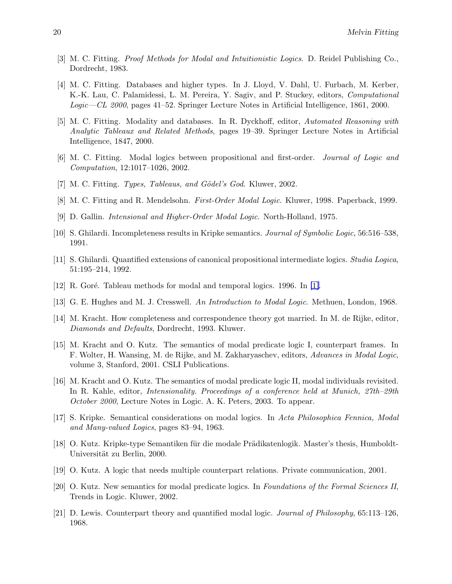- <span id="page-19-0"></span>[3] M. C. Fitting. Proof Methods for Modal and Intuitionistic Logics. D. Reidel Publishing Co., Dordrecht, 1983.
- [4] M. C. Fitting. Databases and higher types. In J. Lloyd, V. Dahl, U. Furbach, M. Kerber, K.-K. Lau, C. Palamidessi, L. M. Pereira, Y. Sagiv, and P. Stuckey, editors, Computational Logic—CL 2000, pages 41–52. Springer Lecture Notes in Artificial Intelligence, 1861, 2000.
- [5] M. C. Fitting. Modality and databases. In R. Dyckhoff, editor, Automated Reasoning with Analytic Tableaux and Related Methods, pages 19–39. Springer Lecture Notes in Artificial Intelligence, 1847, 2000.
- [6] M. C. Fitting. Modal logics between propositional and first-order. Journal of Logic and Computation, 12:1017–1026, 2002.
- [7] M. C. Fitting. Types, Tableaus, and Gödel's God. Kluwer, 2002.
- [8] M. C. Fitting and R. Mendelsohn. First-Order Modal Logic. Kluwer, 1998. Paperback, 1999.
- [9] D. Gallin. Intensional and Higher-Order Modal Logic. North-Holland, 1975.
- [10] S. Ghilardi. Incompleteness results in Kripke semantics. Journal of Symbolic Logic, 56:516–538, 1991.
- [11] S. Ghilardi. Quantified extensions of canonical propositional intermediate logics. Studia Logica, 51:195–214, 1992.
- [12] R. Goré. Tableau methods for modal and temporal logics. 1996. In [\[1\].](#page-18-0)
- [13] G. E. Hughes and M. J. Cresswell. An Introduction to Modal Logic. Methuen, London, 1968.
- [14] M. Kracht. How completeness and correspondence theory got married. In M. de Rijke, editor, Diamonds and Defaults, Dordrecht, 1993. Kluwer.
- [15] M. Kracht and O. Kutz. The semantics of modal predicate logic I, counterpart frames. In F. Wolter, H. Wansing, M. de Rijke, and M. Zakharyaschev, editors, Advances in Modal Logic, volume 3, Stanford, 2001. CSLI Publications.
- [16] M. Kracht and O. Kutz. The semantics of modal predicate logic II, modal individuals revisited. In R. Kahle, editor, *Intensionality. Proceedings of a conference held at Munich*, 27th–29th October 2000, Lecture Notes in Logic. A. K. Peters, 2003. To appear.
- [17] S. Kripke. Semantical considerations on modal logics. In Acta Philosophica Fennica, Modal and Many-valued Logics, pages 83–94, 1963.
- [18] O. Kutz. Kripke-type Semantiken für die modale Prädikatenlogik. Master's thesis, Humboldt-Universität zu Berlin, 2000.
- [19] O. Kutz. A logic that needs multiple counterpart relations. Private communication, 2001.
- [20] O. Kutz. New semantics for modal predicate logics. In Foundations of the Formal Sciences II, Trends in Logic. Kluwer, 2002.
- [21] D. Lewis. Counterpart theory and quantified modal logic. Journal of Philosophy, 65:113–126, 1968.